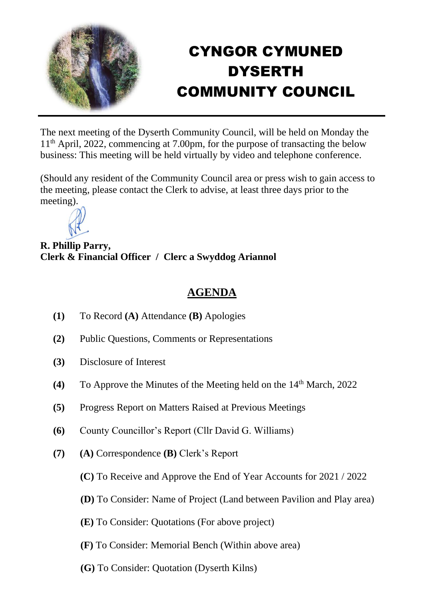

## CYNGOR CYMUNED DYSERTH COMMUNITY COUNCIL

The next meeting of the Dyserth Community Council, will be held on Monday the 11th April, 2022, commencing at 7.00pm, for the purpose of transacting the below business: This meeting will be held virtually by video and telephone conference.

(Should any resident of the Community Council area or press wish to gain access to the meeting, please contact the Clerk to advise, at least three days prior to the meeting).



**R. Phillip Parry, Clerk & Financial Officer / Clerc a Swyddog Ariannol**

## **AGENDA**

- **(1)** To Record **(A)** Attendance **(B)** Apologies
- **(2)** Public Questions, Comments or Representations
- **(3)** Disclosure of Interest
- **(4)** To Approve the Minutes of the Meeting held on the 14<sup>th</sup> March, 2022
- **(5)** Progress Report on Matters Raised at Previous Meetings
- **(6)** County Councillor's Report (Cllr David G. Williams)
- **(7) (A)** Correspondence **(B)** Clerk's Report
	- **(C)** To Receive and Approve the End of Year Accounts for 2021 / 2022
	- **(D)** To Consider: Name of Project (Land between Pavilion and Play area)
	- **(E)** To Consider: Quotations (For above project)
	- **(F)** To Consider: Memorial Bench (Within above area)
	- **(G)** To Consider: Quotation (Dyserth Kilns)